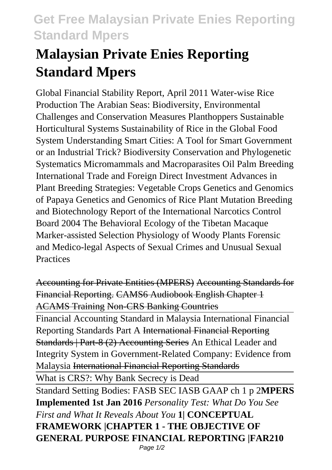## **Get Free Malaysian Private Enies Reporting Standard Mpers**

## **Malaysian Private Enies Reporting Standard Mpers**

Global Financial Stability Report, April 2011 Water-wise Rice Production The Arabian Seas: Biodiversity, Environmental Challenges and Conservation Measures Planthoppers Sustainable Horticultural Systems Sustainability of Rice in the Global Food System Understanding Smart Cities: A Tool for Smart Government or an Industrial Trick? Biodiversity Conservation and Phylogenetic Systematics Micromammals and Macroparasites Oil Palm Breeding International Trade and Foreign Direct Investment Advances in Plant Breeding Strategies: Vegetable Crops Genetics and Genomics of Papaya Genetics and Genomics of Rice Plant Mutation Breeding and Biotechnology Report of the International Narcotics Control Board 2004 The Behavioral Ecology of the Tibetan Macaque Marker-assisted Selection Physiology of Woody Plants Forensic and Medico-legal Aspects of Sexual Crimes and Unusual Sexual **Practices** 

Accounting for Private Entities (MPERS) Accounting Standards for Financial Reporting. CAMS6 Audiobook English Chapter 1 ACAMS Training Non-CRS Banking Countries Financial Accounting Standard in Malaysia International Financial Reporting Standards Part A International Financial Reporting Standards | Part-8 (2) Accounting Series An Ethical Leader and Integrity System in Government-Related Company: Evidence from Malaysia International Financial Reporting Standards What is CRS?: Why Bank Secrecy is Dead Standard Setting Bodies: FASB SEC IASB GAAP ch 1 p 2**MPERS Implemented 1st Jan 2016** *Personality Test: What Do You See First and What It Reveals About You* **1| CONCEPTUAL FRAMEWORK |CHAPTER 1 - THE OBJECTIVE OF GENERAL PURPOSE FINANCIAL REPORTING |FAR210** Page 1/2